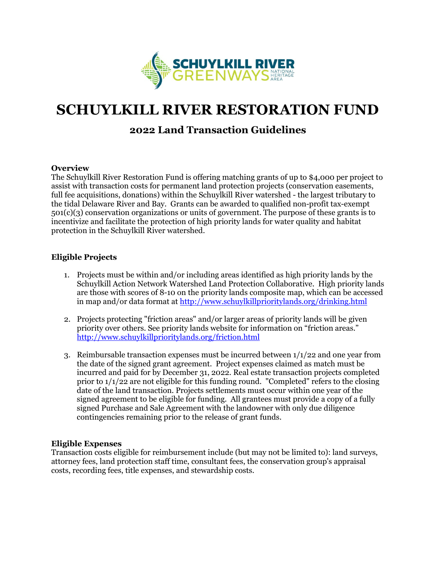

# **SCHUYLKILL RIVER RESTORATION FUND**

# **2022 Land Transaction Guidelines**

#### **Overview**

The Schuylkill River Restoration Fund is offering matching grants of up to \$4,000 per project to assist with transaction costs for permanent land protection projects (conservation easements, full fee acquisitions, donations) within the Schuylkill River watershed - the largest tributary to the tidal Delaware River and Bay. Grants can be awarded to qualified non-profit tax-exempt 501(c)(3) conservation organizations or units of government. The purpose of these grants is to incentivize and facilitate the protection of high priority lands for water quality and habitat protection in the Schuylkill River watershed.

## **Eligible Projects**

- 1. Projects must be within and/or including areas identified as high priority lands by the Schuylkill Action Network Watershed Land Protection Collaborative. High priority lands are those with scores of 8-10 on the priority lands composite map, which can be accessed in map and/or data format at <http://www.schuylkillprioritylands.org/drinking.html>
- 2. Projects protecting "friction areas" and/or larger areas of priority lands will be given priority over others. See priority lands website for information on "friction areas." <http://www.schuylkillprioritylands.org/friction.html>
- 3. Reimbursable transaction expenses must be incurred between 1/1/22 and one year from the date of the signed grant agreement. Project expenses claimed as match must be incurred and paid for by December 31, 2022. Real estate transaction projects completed prior to  $1/1/22$  are not eligible for this funding round. "Completed" refers to the closing date of the land transaction. Projects settlements must occur within one year of the signed agreement to be eligible for funding. All grantees must provide a copy of a fully signed Purchase and Sale Agreement with the landowner with only due diligence contingencies remaining prior to the release of grant funds.

#### **Eligible Expenses**

Transaction costs eligible for reimbursement include (but may not be limited to): land surveys, attorney fees, land protection staff time, consultant fees, the conservation group's appraisal costs, recording fees, title expenses, and stewardship costs.